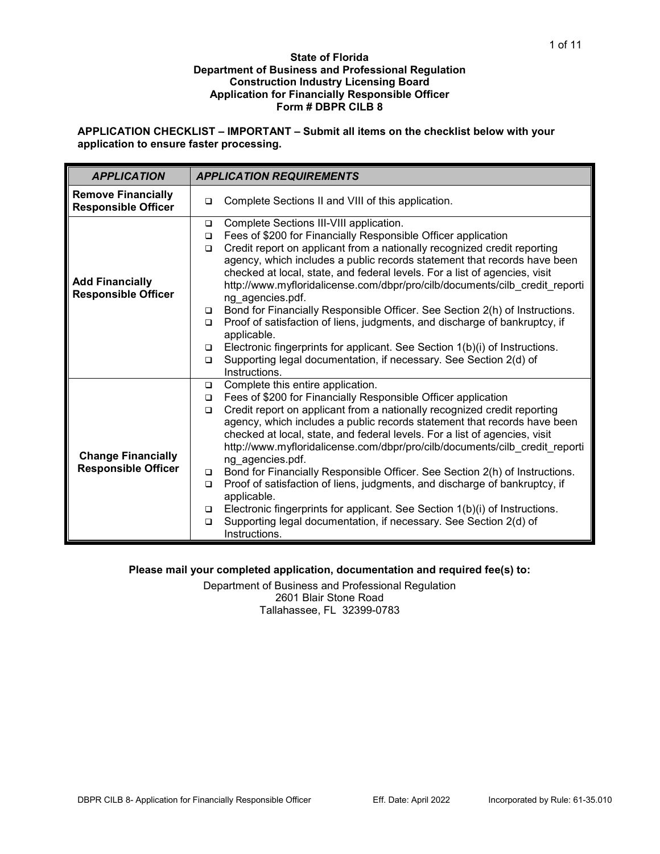### **State of Florida Department of Business and Professional Regulation Construction Industry Licensing Board Application for Financially Responsible Officer Form # DBPR CILB 8**

**APPLICATION CHECKLIST – IMPORTANT – Submit all items on the checklist below with your application to ensure faster processing.**

| <b>APPLICATION</b>                                      | <b>APPLICATION REQUIREMENTS</b>                                                                                                                                                                                                                                                                                                                                                     |
|---------------------------------------------------------|-------------------------------------------------------------------------------------------------------------------------------------------------------------------------------------------------------------------------------------------------------------------------------------------------------------------------------------------------------------------------------------|
| <b>Remove Financially</b><br><b>Responsible Officer</b> | Complete Sections II and VIII of this application.<br>□                                                                                                                                                                                                                                                                                                                             |
|                                                         | Complete Sections III-VIII application.<br>▫<br>Fees of \$200 for Financially Responsible Officer application<br>□<br>Credit report on applicant from a nationally recognized credit reporting<br>$\Box$                                                                                                                                                                            |
| <b>Add Financially</b><br><b>Responsible Officer</b>    | agency, which includes a public records statement that records have been<br>checked at local, state, and federal levels. For a list of agencies, visit<br>http://www.myfloridalicense.com/dbpr/pro/cilb/documents/cilb_credit_reporti<br>ng agencies.pdf.                                                                                                                           |
|                                                         | Bond for Financially Responsible Officer. See Section 2(h) of Instructions.<br>▫<br>Proof of satisfaction of liens, judgments, and discharge of bankruptcy, if<br>$\Box$<br>applicable.                                                                                                                                                                                             |
|                                                         | Electronic fingerprints for applicant. See Section 1(b)(i) of Instructions.<br>□<br>Supporting legal documentation, if necessary. See Section 2(d) of<br>$\Box$<br>Instructions.                                                                                                                                                                                                    |
|                                                         | Complete this entire application.<br>▫                                                                                                                                                                                                                                                                                                                                              |
|                                                         | Fees of \$200 for Financially Responsible Officer application<br>▫<br>Credit report on applicant from a nationally recognized credit reporting<br>$\Box$<br>agency, which includes a public records statement that records have been<br>checked at local, state, and federal levels. For a list of agencies, visit                                                                  |
| <b>Change Financially</b><br><b>Responsible Officer</b> | http://www.myfloridalicense.com/dbpr/pro/cilb/documents/cilb credit reporti<br>ng_agencies.pdf.<br>Bond for Financially Responsible Officer. See Section 2(h) of Instructions.<br>$\Box$<br>Proof of satisfaction of liens, judgments, and discharge of bankruptcy, if<br>▫<br>applicable.<br>Electronic fingerprints for applicant. See Section 1(b)(i) of Instructions.<br>$\Box$ |
|                                                         | Supporting legal documentation, if necessary. See Section 2(d) of<br>$\Box$<br>Instructions.                                                                                                                                                                                                                                                                                        |

## **Please mail your completed application, documentation and required fee(s) to:**

Department of Business and Professional Regulation 2601 Blair Stone Road Tallahassee, FL 32399-0783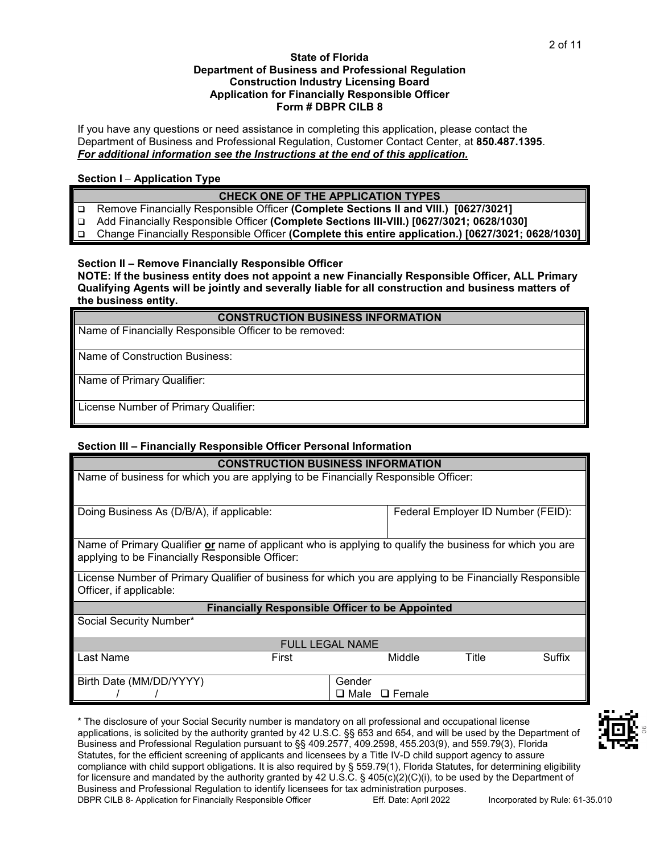### **State of Florida Department of Business and Professional Regulation Construction Industry Licensing Board Application for Financially Responsible Officer Form # DBPR CILB 8**

If you have any questions or need assistance in completing this application, please contact the Department of Business and Professional Regulation, Customer Contact Center, at **850.487.1395**. *For additional information see the Instructions at the end of this application.*

## **Section I** – **Application Type**

### **CHECK ONE OF THE APPLICATION TYPES**

- Remove Financially Responsible Officer **(Complete Sections II and VIII.) [0627/3021]**
- Add Financially Responsible Officer **(Complete Sections III-VIII.) [0627/3021; 0628/1030]**

Change Financially Responsible Officer **(Complete this entire application.) [0627/3021; 0628/1030]**

## **Section II – Remove Financially Responsible Officer**

**NOTE: If the business entity does not appoint a new Financially Responsible Officer, ALL Primary Qualifying Agents will be jointly and severally liable for all construction and business matters of the business entity.**

### **CONSTRUCTION BUSINESS INFORMATION**

Name of Financially Responsible Officer to be removed:

Name of Construction Business:

Name of Primary Qualifier:

License Number of Primary Qualifier:

### **Section III – Financially Responsible Officer Personal Information**

|                                                                                                          | <b>CONSTRUCTION BUSINESS INFORMATION</b> |                        |                                    |       |        |
|----------------------------------------------------------------------------------------------------------|------------------------------------------|------------------------|------------------------------------|-------|--------|
| Name of business for which you are applying to be Financially Responsible Officer:                       |                                          |                        |                                    |       |        |
|                                                                                                          |                                          |                        |                                    |       |        |
| Doing Business As (D/B/A), if applicable:                                                                |                                          |                        | Federal Employer ID Number (FEID): |       |        |
|                                                                                                          |                                          |                        |                                    |       |        |
| Name of Primary Qualifier or name of applicant who is applying to qualify the business for which you are |                                          |                        |                                    |       |        |
| applying to be Financially Responsible Officer:                                                          |                                          |                        |                                    |       |        |
| License Number of Primary Qualifier of business for which you are applying to be Financially Responsible |                                          |                        |                                    |       |        |
| Officer, if applicable:                                                                                  |                                          |                        |                                    |       |        |
| <b>Financially Responsible Officer to be Appointed</b>                                                   |                                          |                        |                                    |       |        |
| Social Security Number*                                                                                  |                                          |                        |                                    |       |        |
|                                                                                                          |                                          |                        |                                    |       |        |
|                                                                                                          |                                          | <b>FULL LEGAL NAME</b> |                                    |       |        |
| Last Name                                                                                                | First                                    |                        | Middle                             | Title | Suffix |
| Birth Date (MM/DD/YYYY)                                                                                  |                                          | Gender                 |                                    |       |        |
|                                                                                                          |                                          | $\square$ Male         | $\Box$ Female                      |       |        |

DBPR CILB 8- Application for Financially Responsible Officer Eff. Date: April 2022 Incorporated by Rule: 61-35.010 \* The disclosure of your Social Security number is mandatory on all professional and occupational license applications, is solicited by the authority granted by 42 U.S.C. §§ 653 and 654, and will be used by the Department of Business and Professional Regulation pursuant to §§ 409.2577, 409.2598, 455.203(9), and 559.79(3), Florida Statutes, for the efficient screening of applicants and licensees by a Title IV-D child support agency to assure compliance with child support obligations. It is also required by § 559.79(1), Florida Statutes, for determining eligibility for licensure and mandated by the authority granted by 42 U.S.C. § 405(c)(2)(C)(i), to be used by the Department of Business and Professional Regulation to identify licensees for tax administration purposes.

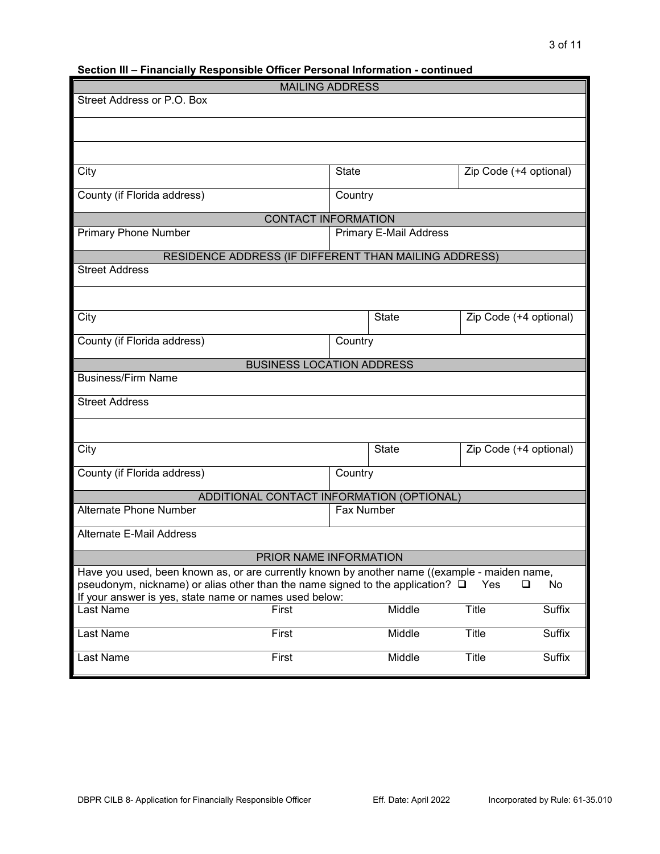# **Section III – Financially Responsible Officer Personal Information - continued**

|                                                                                               | <b>MAILING ADDRESS</b>                    |              |                        |              |                        |
|-----------------------------------------------------------------------------------------------|-------------------------------------------|--------------|------------------------|--------------|------------------------|
| Street Address or P.O. Box                                                                    |                                           |              |                        |              |                        |
|                                                                                               |                                           |              |                        |              |                        |
|                                                                                               |                                           |              |                        |              |                        |
| City                                                                                          |                                           | <b>State</b> |                        |              | Zip Code (+4 optional) |
| County (if Florida address)                                                                   |                                           | Country      |                        |              |                        |
|                                                                                               | <b>CONTACT INFORMATION</b>                |              |                        |              |                        |
| <b>Primary Phone Number</b>                                                                   |                                           |              | Primary E-Mail Address |              |                        |
| RESIDENCE ADDRESS (IF DIFFERENT THAN MAILING ADDRESS)                                         |                                           |              |                        |              |                        |
| <b>Street Address</b>                                                                         |                                           |              |                        |              |                        |
|                                                                                               |                                           |              |                        |              |                        |
| City                                                                                          |                                           |              | <b>State</b>           |              | Zip Code (+4 optional) |
| County (if Florida address)                                                                   |                                           | Country      |                        |              |                        |
|                                                                                               | <b>BUSINESS LOCATION ADDRESS</b>          |              |                        |              |                        |
| <b>Business/Firm Name</b>                                                                     |                                           |              |                        |              |                        |
| <b>Street Address</b>                                                                         |                                           |              |                        |              |                        |
|                                                                                               |                                           |              |                        |              |                        |
| City                                                                                          |                                           |              | <b>State</b>           |              | Zip Code (+4 optional) |
| County (if Florida address)                                                                   |                                           | Country      |                        |              |                        |
|                                                                                               | ADDITIONAL CONTACT INFORMATION (OPTIONAL) |              |                        |              |                        |
| <b>Alternate Phone Number</b>                                                                 |                                           | Fax Number   |                        |              |                        |
| <b>Alternate E-Mail Address</b>                                                               |                                           |              |                        |              |                        |
|                                                                                               | PRIOR NAME INFORMATION                    |              |                        |              |                        |
| Have you used, been known as, or are currently known by another name ((example - maiden name, |                                           |              |                        |              |                        |
| pseudonym, nickname) or alias other than the name signed to the application? $\square$        |                                           |              |                        | Yes          | $\Box$<br>No           |
| If your answer is yes, state name or names used below:                                        |                                           |              |                        |              |                        |
| Last Name                                                                                     | First                                     |              | Middle                 | <b>Title</b> | Suffix                 |
| Last Name                                                                                     | First                                     |              | Middle                 | <b>Title</b> | Suffix                 |
| Last Name                                                                                     | First                                     |              | Middle                 | Title        | Suffix                 |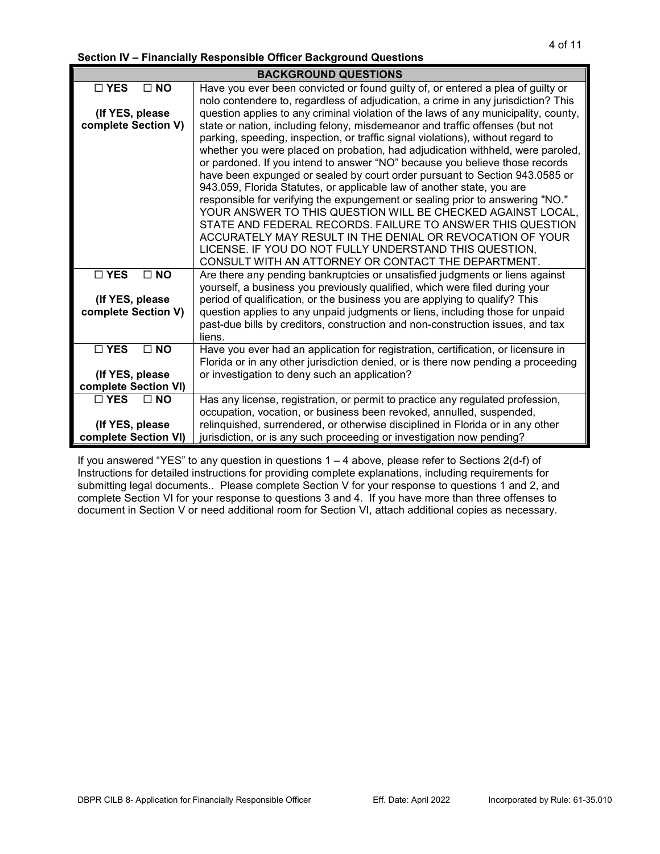**Section IV – Financially Responsible Officer Background Questions**

|                                          | <b>BACKGROUND QUESTIONS</b>                                                                                                                                                                                                                                                                                                                                                                                                                                                                                                                                                                                                                                                                                                                                                                                                                                                                                                                                                  |
|------------------------------------------|------------------------------------------------------------------------------------------------------------------------------------------------------------------------------------------------------------------------------------------------------------------------------------------------------------------------------------------------------------------------------------------------------------------------------------------------------------------------------------------------------------------------------------------------------------------------------------------------------------------------------------------------------------------------------------------------------------------------------------------------------------------------------------------------------------------------------------------------------------------------------------------------------------------------------------------------------------------------------|
| $\Box$ NO<br>$\Box$ YES                  | Have you ever been convicted or found guilty of, or entered a plea of guilty or<br>nolo contendere to, regardless of adjudication, a crime in any jurisdiction? This                                                                                                                                                                                                                                                                                                                                                                                                                                                                                                                                                                                                                                                                                                                                                                                                         |
| (If YES, please<br>complete Section V)   | question applies to any criminal violation of the laws of any municipality, county,<br>state or nation, including felony, misdemeanor and traffic offenses (but not<br>parking, speeding, inspection, or traffic signal violations), without regard to<br>whether you were placed on probation, had adjudication withheld, were paroled,<br>or pardoned. If you intend to answer "NO" because you believe those records<br>have been expunged or sealed by court order pursuant to Section 943.0585 or<br>943.059, Florida Statutes, or applicable law of another state, you are<br>responsible for verifying the expungement or sealing prior to answering "NO."<br>YOUR ANSWER TO THIS QUESTION WILL BE CHECKED AGAINST LOCAL,<br>STATE AND FEDERAL RECORDS. FAILURE TO ANSWER THIS QUESTION<br>ACCURATELY MAY RESULT IN THE DENIAL OR REVOCATION OF YOUR<br>LICENSE. IF YOU DO NOT FULLY UNDERSTAND THIS QUESTION,<br>CONSULT WITH AN ATTORNEY OR CONTACT THE DEPARTMENT. |
| $\Box$ YES<br>$\square$ NO               | Are there any pending bankruptcies or unsatisfied judgments or liens against<br>yourself, a business you previously qualified, which were filed during your                                                                                                                                                                                                                                                                                                                                                                                                                                                                                                                                                                                                                                                                                                                                                                                                                  |
| (If YES, please<br>complete Section V)   | period of qualification, or the business you are applying to qualify? This<br>question applies to any unpaid judgments or liens, including those for unpaid<br>past-due bills by creditors, construction and non-construction issues, and tax<br>liens.                                                                                                                                                                                                                                                                                                                                                                                                                                                                                                                                                                                                                                                                                                                      |
| $\square$ YES<br>$\square$ NO            | Have you ever had an application for registration, certification, or licensure in                                                                                                                                                                                                                                                                                                                                                                                                                                                                                                                                                                                                                                                                                                                                                                                                                                                                                            |
| (If YES, please)<br>complete Section VI) | Florida or in any other jurisdiction denied, or is there now pending a proceeding<br>or investigation to deny such an application?                                                                                                                                                                                                                                                                                                                                                                                                                                                                                                                                                                                                                                                                                                                                                                                                                                           |
| $\Box$ YES<br>$\Box$ NO                  | Has any license, registration, or permit to practice any regulated profession,                                                                                                                                                                                                                                                                                                                                                                                                                                                                                                                                                                                                                                                                                                                                                                                                                                                                                               |
| (If YES, please)<br>complete Section VI) | occupation, vocation, or business been revoked, annulled, suspended,<br>relinquished, surrendered, or otherwise disciplined in Florida or in any other<br>jurisdiction, or is any such proceeding or investigation now pending?                                                                                                                                                                                                                                                                                                                                                                                                                                                                                                                                                                                                                                                                                                                                              |

If you answered "YES" to any question in questions 1 – 4 above, please refer to Sections 2(d-f) of Instructions for detailed instructions for providing complete explanations, including requirements for submitting legal documents.. Please complete Section V for your response to questions 1 and 2, and complete Section VI for your response to questions 3 and 4. If you have more than three offenses to document in Section V or need additional room for Section VI, attach additional copies as necessary.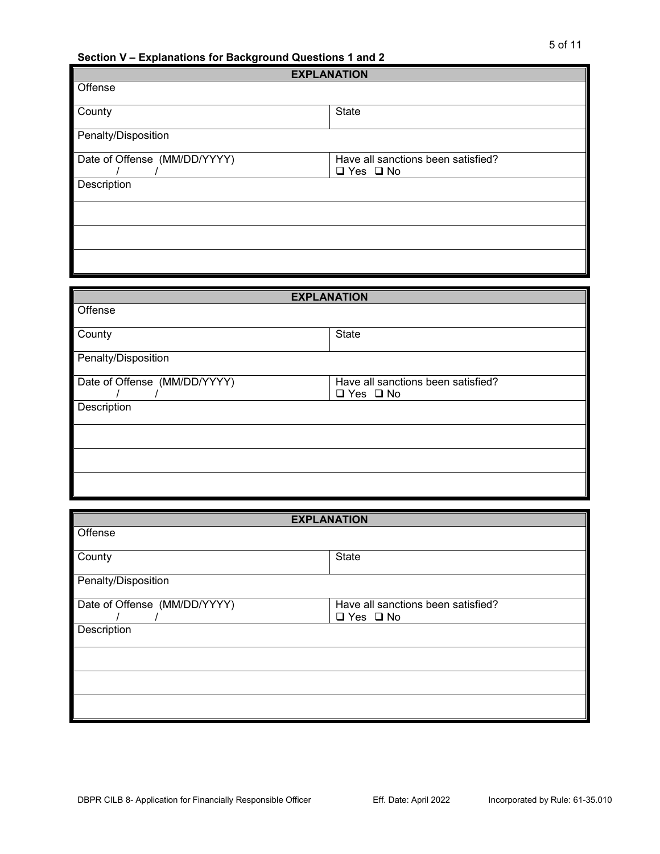**Section V – Explanations for Background Questions 1 and 2**

| <b>EXPLANATION</b>           |                                                            |  |
|------------------------------|------------------------------------------------------------|--|
| Offense                      |                                                            |  |
| County                       | <b>State</b>                                               |  |
| Penalty/Disposition          |                                                            |  |
| Date of Offense (MM/DD/YYYY) | Have all sanctions been satisfied?<br>$\Box$ Yes $\Box$ No |  |
| Description                  |                                                            |  |
|                              |                                                            |  |
|                              |                                                            |  |
|                              |                                                            |  |

| <b>EXPLANATION</b>           |                                    |  |
|------------------------------|------------------------------------|--|
| Offense                      |                                    |  |
| County                       | State                              |  |
| Penalty/Disposition          |                                    |  |
| Date of Offense (MM/DD/YYYY) | Have all sanctions been satisfied? |  |
|                              | $\Box$ Yes $\Box$ No               |  |
| Description                  |                                    |  |
|                              |                                    |  |
|                              |                                    |  |
|                              |                                    |  |

|                              | <b>EXPLANATION</b>                 |
|------------------------------|------------------------------------|
| Offense                      |                                    |
| County                       | <b>State</b>                       |
| Penalty/Disposition          |                                    |
| Date of Offense (MM/DD/YYYY) | Have all sanctions been satisfied? |
|                              | $\Box$ Yes $\Box$ No               |
| Description                  |                                    |
|                              |                                    |
|                              |                                    |
|                              |                                    |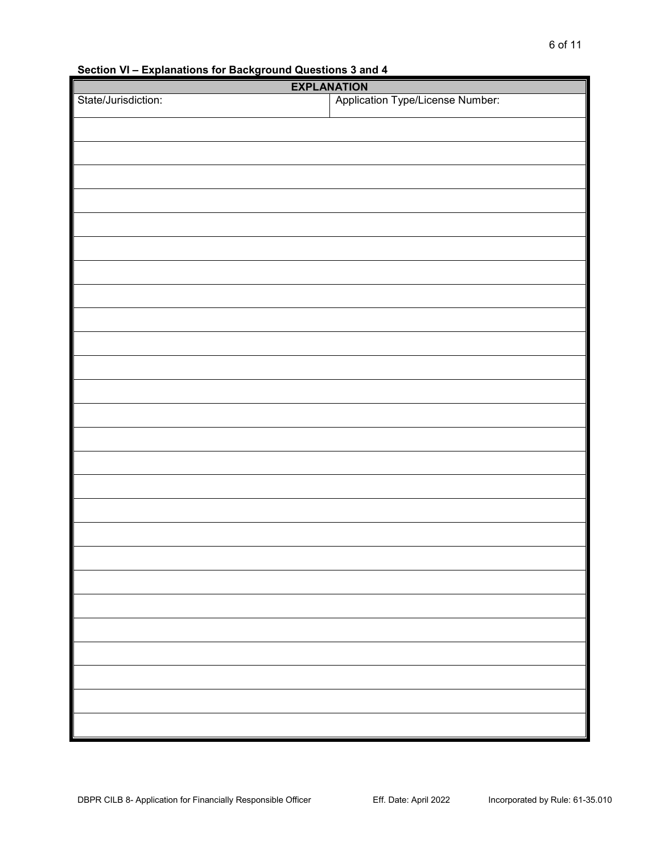**Section VI – Explanations for Background Questions 3 and 4**

| <b>EXPLANATION</b>  |                                  |  |  |
|---------------------|----------------------------------|--|--|
| State/Jurisdiction: | Application Type/License Number: |  |  |
|                     |                                  |  |  |
|                     |                                  |  |  |
|                     |                                  |  |  |
|                     |                                  |  |  |
|                     |                                  |  |  |
|                     |                                  |  |  |
|                     |                                  |  |  |
|                     |                                  |  |  |
|                     |                                  |  |  |
|                     |                                  |  |  |
|                     |                                  |  |  |
|                     |                                  |  |  |
|                     |                                  |  |  |
|                     |                                  |  |  |
|                     |                                  |  |  |
|                     |                                  |  |  |
|                     |                                  |  |  |
|                     |                                  |  |  |
|                     |                                  |  |  |
|                     |                                  |  |  |
|                     |                                  |  |  |
|                     |                                  |  |  |
|                     |                                  |  |  |
|                     |                                  |  |  |
|                     |                                  |  |  |
|                     |                                  |  |  |
|                     |                                  |  |  |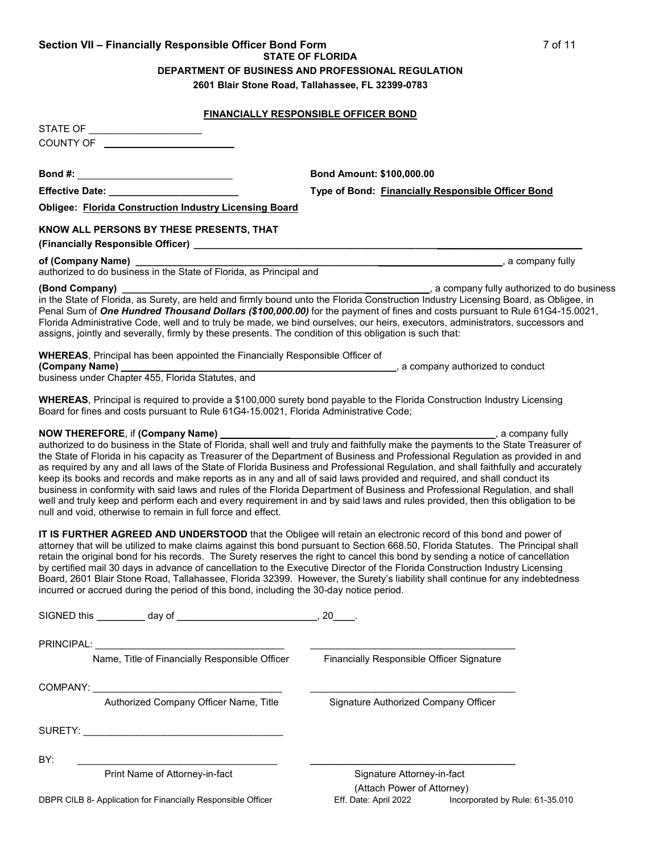# **Section VII – Financially Responsible Officer Bond Form** 7 of 11 **STATE OF FLORIDA**

**DEPARTMENT OF BUSINESS AND PROFESSIONAL REGULATION**

**2601 Blair Stone Road, Tallahassee, FL 32399-0783**

### **FINANCIALLY RESPONSIBLE OFFICER BOND**

STATE OF \_\_\_\_\_\_\_\_\_\_\_\_\_\_\_\_\_\_\_\_\_ COUNTY OF

**Bond #: Bond Amount: \$100,000.00**

**Effective Date: \_\_\_\_\_\_\_\_\_\_\_\_\_\_\_\_\_\_\_\_\_\_\_\_ Type of Bond: Financially Responsible Officer Bond**

**Obligee: Florida Construction Industry Licensing Board**

### **KNOW ALL PERSONS BY THESE PRESENTS, THAT**

**(Financially Responsible Officer) \_\_\_\_\_\_\_\_\_\_\_\_\_\_\_\_\_\_\_\_\_\_\_\_\_\_\_\_\_\_\_\_\_\_\_\_\_\_\_\_\_\_\_\_\_\_\_\_\_\_\_\_\_\_\_\_\_\_\_\_\_\_\_\_\_\_\_\_\_\_\_\_**

### **of (Company Name) \_\_\_\_\_\_\_\_\_\_\_\_\_\_\_\_\_\_\_\_\_\_\_\_\_\_\_\_\_\_\_\_\_\_\_\_\_\_\_\_\_\_\_\_\_\_\_\_\_\_\_\_\_\_\_\_\_\_\_\_\_\_\_\_\_\_\_\_**, a company fully

authorized to do business in the State of Florida, as Principal and

**(Bond Company) \_\_\_\_\_\_\_\_\_\_\_\_\_\_\_\_\_\_\_\_\_\_\_\_\_\_\_\_\_\_\_\_\_\_\_\_\_\_\_\_\_\_\_\_\_\_\_\_\_\_\_\_\_\_\_\_\_**, a company fully authorized to do business in the State of Florida, as Surety, are held and firmly bound unto the Florida Construction Industry Licensing Board, as Obligee, in Penal Sum of *One Hundred Thousand Dollars (\$100,000.00)* for the payment of fines and costs pursuant to Rule 61G4-15.0021, Florida Administrative Code, well and to truly be made, we bind ourselves, our heirs, executors, administrators, successors and assigns, jointly and severally, firmly by these presents. The condition of this obligation is such that:

**WHEREAS**, Principal has been appointed the Financially Responsible Officer of

**(Company Name)** *Company Name Let us a company authorized to conduct Company authorized to conduct* business under Chapter 455, Florida Statutes, and

**WHEREAS**, Principal is required to provide a \$100,000 surety bond payable to the Florida Construction Industry Licensing Board for fines and costs pursuant to Rule 61G4-15.0021, Florida Administrative Code;

### **NOW THEREFORE**, if **(Company Name) \_\_\_\_\_\_\_\_\_\_\_\_\_**\_\_\_\_\_\_\_\_\_\_\_\_\_\_\_\_\_\_\_\_\_\_\_\_\_\_\_\_\_\_\_\_\_\_\_\_\_\_, a company fully

authorized to do business in the State of Florida, shall well and truly and faithfully make the payments to the State Treasurer of the State of Florida in his capacity as Treasurer of the Department of Business and Professional Regulation as provided in and as required by any and all laws of the State of Florida Business and Professional Regulation, and shall faithfully and accurately keep its books and records and make reports as in any and all of said laws provided and required, and shall conduct its business in conformity with said laws and rules of the Florida Department of Business and Professional Regulation, and shall well and truly keep and perform each and every requirement in and by said laws and rules provided, then this obligation to be null and void, otherwise to remain in full force and effect.

**IT IS FURTHER AGREED AND UNDERSTOOD** that the Obligee will retain an electronic record of this bond and power of attorney that will be utilized to make claims against this bond pursuant to Section 668.50, Florida Statutes. The Principal shall retain the original bond for his records. The Surety reserves the right to cancel this bond by sending a notice of cancellation by certified mail 30 days in advance of cancellation to the Executive Director of the Florida Construction Industry Licensing Board, 2601 Blair Stone Road, Tallahassee, Florida 32399. However, the Surety's liability shall continue for any indebtedness incurred or accrued during the period of this bond, including the 30-day notice period.

| SIGNED this _________ day of _______________________ | 20                                               |
|------------------------------------------------------|--------------------------------------------------|
| PRINCIPAL:                                           |                                                  |
| Name, Title of Financially Responsible Officer       | <b>Financially Responsible Officer Signature</b> |
| COMPANY: ______________________________              |                                                  |
| Authorized Company Officer Name, Title               | Signature Authorized Company Officer             |
| SURETY:                                              |                                                  |
| BY:                                                  |                                                  |
| Print Name of Attorney-in-fact                       | Signature Attorney-in-fact                       |
|                                                      | (Attach Power of Attorney)                       |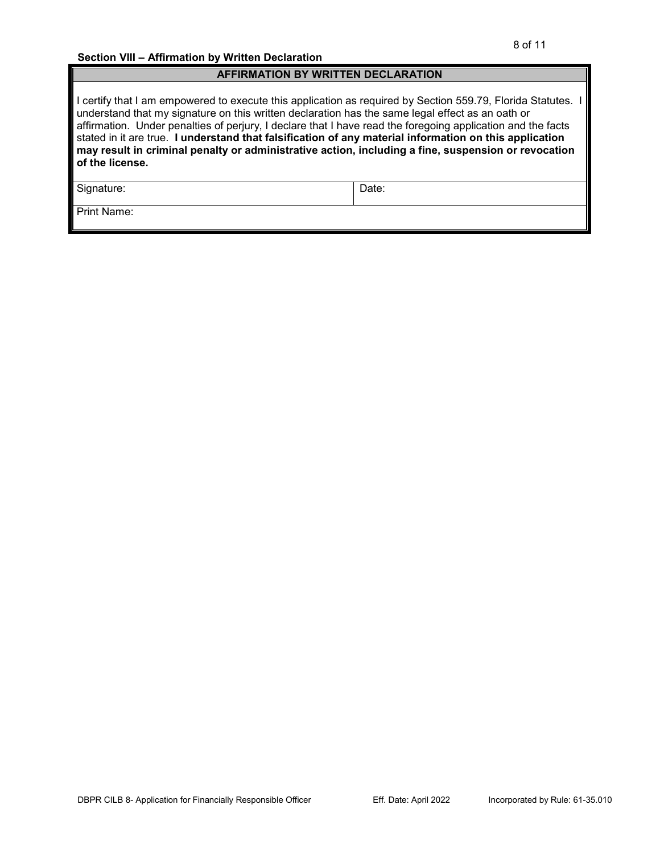### **AFFIRMATION BY WRITTEN DECLARATION**

I certify that I am empowered to execute this application as required by Section 559.79, Florida Statutes. I understand that my signature on this written declaration has the same legal effect as an oath or affirmation. Under penalties of perjury, I declare that I have read the foregoing application and the facts stated in it are true. **I understand that falsification of any material information on this application may result in criminal penalty or administrative action, including a fine, suspension or revocation of the license.**

Signature: Date:

Print Name: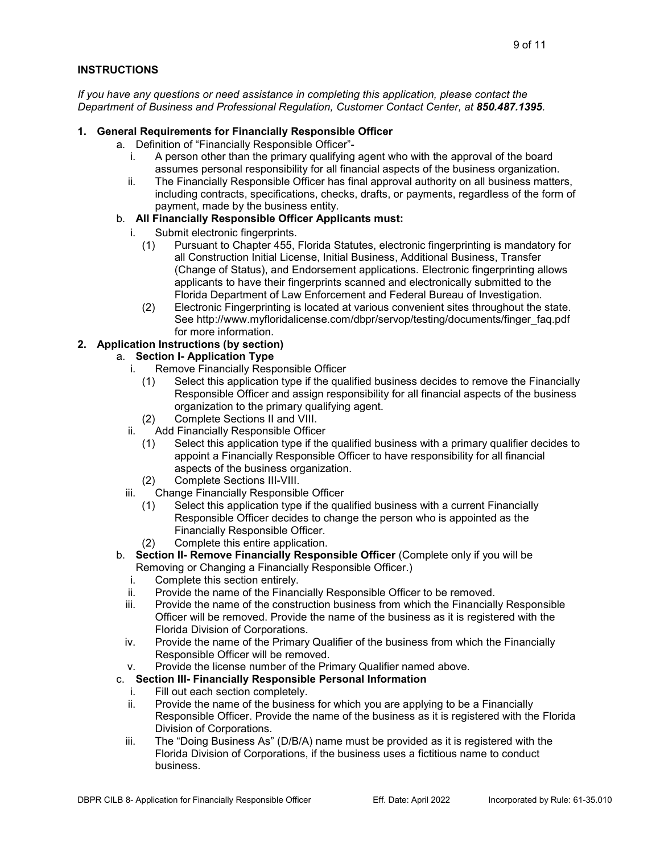### **INSTRUCTIONS**

*If you have any questions or need assistance in completing this application, please contact the Department of Business and Professional Regulation, Customer Contact Center, at 850.487.1395.*

### **1. General Requirements for Financially Responsible Officer**

- a. Definition of "Financially Responsible Officer"
	- i. A person other than the primary qualifying agent who with the approval of the board assumes personal responsibility for all financial aspects of the business organization.
	- ii. The Financially Responsible Officer has final approval authority on all business matters, including contracts, specifications, checks, drafts, or payments, regardless of the form of payment, made by the business entity.

### b. **All Financially Responsible Officer Applicants must:**

- i. Submit electronic fingerprints.
	- (1) Pursuant to Chapter 455, Florida Statutes, electronic fingerprinting is mandatory for all Construction Initial License, Initial Business, Additional Business, Transfer (Change of Status), and Endorsement applications. Electronic fingerprinting allows applicants to have their fingerprints scanned and electronically submitted to the Florida Department of Law Enforcement and Federal Bureau of Investigation.
	- (2) Electronic Fingerprinting is located at various convenient sites throughout the state. See http://www.myfloridalicense.com/dbpr/servop/testing/documents/finger\_faq.pdf for more information.

### **2. Application Instructions (by section)**

## a. **Section I- Application Type**

- i. Remove Financially Responsible Officer
	- (1) Select this application type if the qualified business decides to remove the Financially Responsible Officer and assign responsibility for all financial aspects of the business organization to the primary qualifying agent.
	- (2) Complete Sections II and VIII.
- ii. Add Financially Responsible Officer
	- (1) Select this application type if the qualified business with a primary qualifier decides to appoint a Financially Responsible Officer to have responsibility for all financial aspects of the business organization.
	- (2) Complete Sections III-VIII.
- iii. Change Financially Responsible Officer
	- (1) Select this application type if the qualified business with a current Financially Responsible Officer decides to change the person who is appointed as the Financially Responsible Officer.
	- (2) Complete this entire application.
- b. **Section II- Remove Financially Responsible Officer** (Complete only if you will be Removing or Changing a Financially Responsible Officer.)
	- i. Complete this section entirely.
	- ii. Provide the name of the Financially Responsible Officer to be removed.
	- iii. Provide the name of the construction business from which the Financially Responsible Officer will be removed. Provide the name of the business as it is registered with the Florida Division of Corporations.
	- iv. Provide the name of the Primary Qualifier of the business from which the Financially Responsible Officer will be removed.
	- v. Provide the license number of the Primary Qualifier named above.

### c. **Section III- Financially Responsible Personal Information**

- i. Fill out each section completely.
- ii. Provide the name of the business for which you are applying to be a Financially Responsible Officer. Provide the name of the business as it is registered with the Florida Division of Corporations.
- iii. The "Doing Business As" (D/B/A) name must be provided as it is registered with the Florida Division of Corporations, if the business uses a fictitious name to conduct business.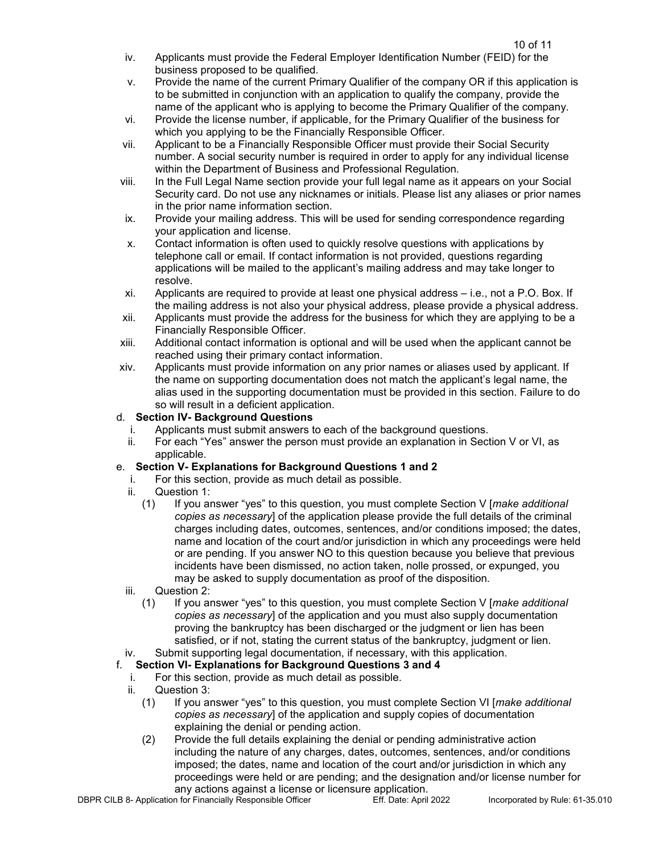- iv. Applicants must provide the Federal Employer Identification Number (FEID) for the business proposed to be qualified.
- v. Provide the name of the current Primary Qualifier of the company OR if this application is to be submitted in conjunction with an application to qualify the company, provide the name of the applicant who is applying to become the Primary Qualifier of the company.
- vi. Provide the license number, if applicable, for the Primary Qualifier of the business for which you applying to be the Financially Responsible Officer.
- vii. Applicant to be a Financially Responsible Officer must provide their Social Security number. A social security number is required in order to apply for any individual license within the Department of Business and Professional Regulation.
- viii. In the Full Legal Name section provide your full legal name as it appears on your Social Security card. Do not use any nicknames or initials. Please list any aliases or prior names in the prior name information section.
- ix. Provide your mailing address. This will be used for sending correspondence regarding your application and license.
- x. Contact information is often used to quickly resolve questions with applications by telephone call or email. If contact information is not provided, questions regarding applications will be mailed to the applicant's mailing address and may take longer to resolve.
- xi. Applicants are required to provide at least one physical address i.e., not a P.O. Box. If the mailing address is not also your physical address, please provide a physical address.
- xii. Applicants must provide the address for the business for which they are applying to be a Financially Responsible Officer.
- xiii. Additional contact information is optional and will be used when the applicant cannot be reached using their primary contact information.
- xiv. Applicants must provide information on any prior names or aliases used by applicant. If the name on supporting documentation does not match the applicant's legal name, the alias used in the supporting documentation must be provided in this section. Failure to do so will result in a deficient application.

## d. **Section IV- Background Questions**

- i. Applicants must submit answers to each of the background questions.
- ii. For each "Yes" answer the person must provide an explanation in Section V or VI, as applicable.

## e. **Section V- Explanations for Background Questions 1 and 2**

- i. For this section, provide as much detail as possible.
- Question 1:
	- (1) If you answer "yes" to this question, you must complete Section V [*make additional copies as necessary*] of the application please provide the full details of the criminal charges including dates, outcomes, sentences, and/or conditions imposed; the dates, name and location of the court and/or jurisdiction in which any proceedings were held or are pending. If you answer NO to this question because you believe that previous incidents have been dismissed, no action taken, nolle prossed, or expunged, you may be asked to supply documentation as proof of the disposition.
- iii. Question 2:
	- (1) If you answer "yes" to this question, you must complete Section V [*make additional copies as necessary*] of the application and you must also supply documentation proving the bankruptcy has been discharged or the judgment or lien has been satisfied, or if not, stating the current status of the bankruptcy, judgment or lien.
- iv. Submit supporting legal documentation, if necessary, with this application.

# f. **Section VI- Explanations for Background Questions 3 and 4**

- i. For this section, provide as much detail as possible.
- ii. Question 3:
	- (1) If you answer "yes" to this question, you must complete Section VI [*make additional copies as necessary*] of the application and supply copies of documentation explaining the denial or pending action.
	- (2) Provide the full details explaining the denial or pending administrative action including the nature of any charges, dates, outcomes, sentences, and/or conditions imposed; the dates, name and location of the court and/or jurisdiction in which any proceedings were held or are pending; and the designation and/or license number for any actions against a license or licensure application.